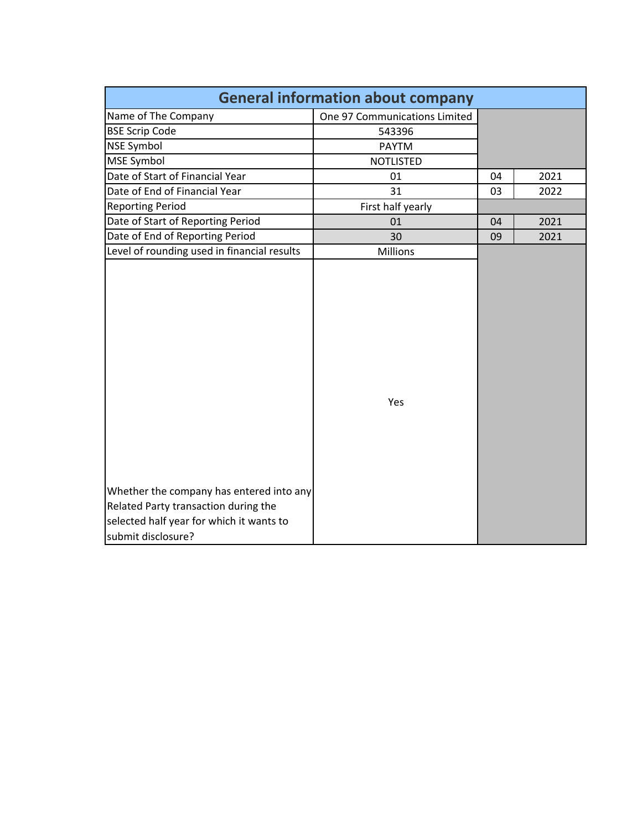| <b>General information about company</b>                                                                                                           |                               |    |      |  |  |  |  |  |  |  |  |  |  |
|----------------------------------------------------------------------------------------------------------------------------------------------------|-------------------------------|----|------|--|--|--|--|--|--|--|--|--|--|
| Name of The Company                                                                                                                                | One 97 Communications Limited |    |      |  |  |  |  |  |  |  |  |  |  |
| <b>BSE Scrip Code</b>                                                                                                                              | 543396                        |    |      |  |  |  |  |  |  |  |  |  |  |
| <b>NSE Symbol</b>                                                                                                                                  | <b>PAYTM</b>                  |    |      |  |  |  |  |  |  |  |  |  |  |
| MSE Symbol                                                                                                                                         | <b>NOTLISTED</b>              |    |      |  |  |  |  |  |  |  |  |  |  |
| Date of Start of Financial Year                                                                                                                    | 01                            | 04 | 2021 |  |  |  |  |  |  |  |  |  |  |
| Date of End of Financial Year                                                                                                                      | 31                            | 03 | 2022 |  |  |  |  |  |  |  |  |  |  |
| <b>Reporting Period</b>                                                                                                                            | First half yearly             |    |      |  |  |  |  |  |  |  |  |  |  |
| Date of Start of Reporting Period                                                                                                                  | 01                            | 04 | 2021 |  |  |  |  |  |  |  |  |  |  |
| Date of End of Reporting Period                                                                                                                    | 30                            | 09 | 2021 |  |  |  |  |  |  |  |  |  |  |
| Level of rounding used in financial results                                                                                                        | Millions                      |    |      |  |  |  |  |  |  |  |  |  |  |
| Whether the company has entered into any<br>Related Party transaction during the<br>selected half year for which it wants to<br>submit disclosure? | Yes                           |    |      |  |  |  |  |  |  |  |  |  |  |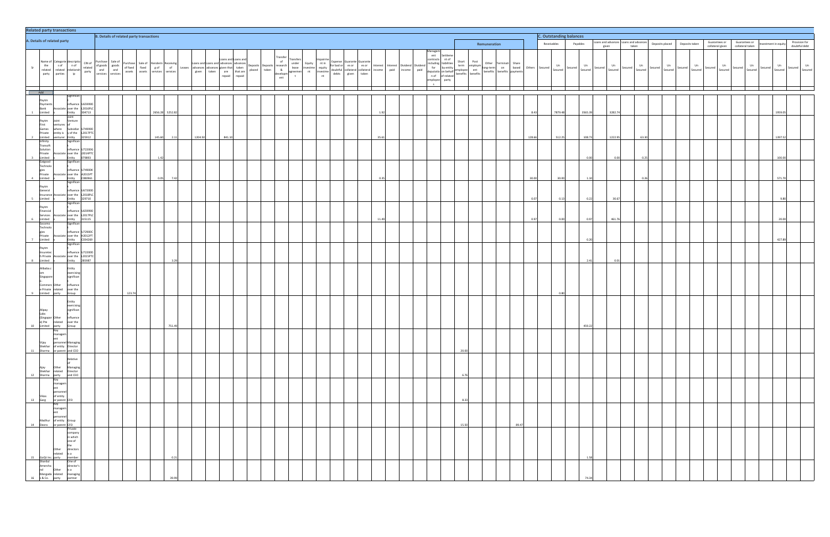|                |                                                                      | <b>Related party transactions</b>                                                                                                                           |                                                                                                                                                                                                                                                                                          |                                                 |        |  |                                                                                                  |         |                                                                                                                           |                     |  |  |  |  |  |  |                |                                                |  |                                |              |       |             |                                       |               |                                 |               |                          |                       |               |               |                  |                          |                  |                    |         |               |               |
|----------------|----------------------------------------------------------------------|-------------------------------------------------------------------------------------------------------------------------------------------------------------|------------------------------------------------------------------------------------------------------------------------------------------------------------------------------------------------------------------------------------------------------------------------------------------|-------------------------------------------------|--------|--|--------------------------------------------------------------------------------------------------|---------|---------------------------------------------------------------------------------------------------------------------------|---------------------|--|--|--|--|--|--|----------------|------------------------------------------------|--|--------------------------------|--------------|-------|-------------|---------------------------------------|---------------|---------------------------------|---------------|--------------------------|-----------------------|---------------|---------------|------------------|--------------------------|------------------|--------------------|---------|---------------|---------------|
|                |                                                                      | A. Details of related party                                                                                                                                 |                                                                                                                                                                                                                                                                                          | <b>B. Details of related party transactions</b> |        |  |                                                                                                  |         |                                                                                                                           |                     |  |  |  |  |  |  |                |                                                |  | <b>C. Outstanding balances</b> |              |       |             | Loans and advances Loans and advances |               | Guarantees or<br>Deposits taken |               |                          |                       | Guarantees or |               |                  | Provision for            |                  |                    |         |               |               |
|                |                                                                      |                                                                                                                                                             |                                                                                                                                                                                                                                                                                          |                                                 |        |  |                                                                                                  |         |                                                                                                                           |                     |  |  |  |  |  |  |                |                                                |  |                                | Remuneration |       | Receivables |                                       | Payables      | given                           |               | taken                    | Deposits placed       |               |               | collateral given |                          | collateral taken | vestment in equity |         | doubtful debt |               |
| Sr             |                                                                      | Name of Categorie descriptio<br>the sof nof<br>related relationsh<br>party parties ip                                                                       | CIN of<br>related<br>related<br>party<br>party<br>services<br>services<br>services<br>party<br>party<br>party<br>party<br>party<br>party<br>party<br>party<br>party<br>party<br>party<br>party<br>party<br>party<br>party<br>party<br>party<br>party<br>party<br>party<br>party<br>party |                                                 |        |  | Purchase Sale of Renderin Receiving<br>of fixed fixed g of of<br>assets assets services services |         | Leases and Loans and advances advances<br>advances advances given that taken<br>given taken are that are<br>repaid regaid | Loans and Loans and |  |  |  |  |  |  |                | Interest Dividend Dividend<br>paid income paid |  |                                |              |       |             | Secured                               | Un<br>Secured | Secured                         | Un<br>Secured | Un<br>Secured<br>Secured | Un<br>Secured Secured | Secured       | Un<br>Secured | Secured          | Un<br>Secured<br>Secured | Un<br>Secured    | Secured Secured    | Un      | Secured       | Un<br>Secured |
|                | Add                                                                  |                                                                                                                                                             |                                                                                                                                                                                                                                                                                          |                                                 |        |  |                                                                                                  |         |                                                                                                                           |                     |  |  |  |  |  |  |                |                                                |  |                                |              |       |             |                                       |               |                                 |               |                          |                       |               |               |                  |                          |                  |                    |         |               |               |
|                | Paytm<br>Payments<br>Bank<br>mited                                   | Significan<br>influence<br>ssociate over the<br>Entity                                                                                                      | J65999D<br>2016PLC<br>4713                                                                                                                                                                                                                                                               |                                                 |        |  | 2656.28<br>5252.82                                                                               |         |                                                                                                                           |                     |  |  |  |  |  |  |                |                                                |  |                                |              |       | 8.43        | 7879.48                               | 3565.39       |                                 | 3282.74       |                          |                       |               |               |                  |                          |                  |                    | 1959.0  |               |               |
|                | Paytm<br>First<br>Games<br>Private                                   | Joint<br>Venture<br>loint<br>entures of<br>where<br>Subsidiar<br>entity is y of the                                                                         | 74999D<br>2017PTC                                                                                                                                                                                                                                                                        |                                                 |        |  |                                                                                                  |         |                                                                                                                           |                     |  |  |  |  |  |  |                |                                                |  |                                |              |       |             |                                       | 108.73        |                                 | 1222.95       |                          |                       |               |               |                  |                          |                  |                    | 1397.52 |               |               |
| 2              | Limited<br>Infinity<br>Transoft<br>Solution<br>Private<br>3 Limited  | venturer Entity<br>Significan<br>influence<br>ssociate over the J2014PTC<br>Entity                                                                          | 25912<br>J72200G<br>79893                                                                                                                                                                                                                                                                |                                                 |        |  | 145.60<br>2.11<br>1.42                                                                           | 1204.50 | 841.10                                                                                                                    |                     |  |  |  |  |  |  | 35.61          |                                                |  |                                |              |       | 128.66      | 512.25                                | 0.00          |                                 | 0.00          | 63.30<br>0.25            |                       |               |               |                  |                          |                  |                    | 100.00  |               |               |
|                | Eatgood<br>Technolo<br>gies<br>Private<br>4 Limited                  | Significan<br>influence<br>ssociate over the<br>Entity                                                                                                      | U74900K<br>A2015PT<br>080961                                                                                                                                                                                                                                                             |                                                 |        |  | 0.05<br>7.42                                                                                     |         |                                                                                                                           |                     |  |  |  |  |  |  | 0 <sup>3</sup> |                                                |  |                                |              |       | 30.00       | 30.00                                 | 1.10          |                                 |               | 0.26                     |                       |               |               |                  |                          |                  |                    | 571.70  |               |               |
| 5 <sub>5</sub> | Paytm<br>General<br>Limited                                          | Significan<br>Insurance Associate over the<br>Entity                                                                                                        | influence U67200D<br>L2018PLC<br>29710                                                                                                                                                                                                                                                   |                                                 |        |  |                                                                                                  |         |                                                                                                                           |                     |  |  |  |  |  |  |                |                                                |  |                                |              |       | 0.0         |                                       |               |                                 | 30.67         |                          |                       |               |               |                  |                          |                  |                    |         |               |               |
|                | Paytm<br>Financial<br>Services<br>6 Limited                          | Significan<br>influence<br>ssociate over the<br>Entity                                                                                                      | U65999D<br>2017PLC<br>15115                                                                                                                                                                                                                                                              |                                                 |        |  |                                                                                                  |         |                                                                                                                           |                     |  |  |  |  |  |  | 11.49          |                                                |  |                                |              |       | 0.97        | 0.00                                  | 0.97          |                                 | 461.76        |                          |                       |               |               |                  |                          |                  |                    | 20.0    |               |               |
|                | Socomo<br>Technolo<br>gies<br>Private<br>7 Limited                   | Significan<br>influence<br>ssociate over the<br>Entity                                                                                                      | J72900C<br>H2012PT<br>034269                                                                                                                                                                                                                                                             |                                                 |        |  |                                                                                                  |         |                                                                                                                           |                     |  |  |  |  |  |  |                |                                                |  |                                |              |       |             |                                       |               |                                 |               |                          |                       |               |               |                  |                          |                  |                    | 427.89  |               |               |
|                | Paytm<br>Insuretec<br>h Private<br>8 Limited                         | Significan<br>influence<br>Associate over the<br>Entity                                                                                                     | J72200D<br>L2015PTC<br>285987                                                                                                                                                                                                                                                            |                                                 |        |  |                                                                                                  |         |                                                                                                                           |                     |  |  |  |  |  |  |                |                                                |  |                                |              |       |             |                                       |               |                                 |               |                          |                       |               |               |                  |                          |                  |                    |         |               |               |
|                | Alibaba.c<br>Singapore<br>Commerc Other<br>e Private<br>mited        | Entity<br>exercisin<br>significar<br>influence<br>over the<br>related                                                                                       |                                                                                                                                                                                                                                                                                          |                                                 | 123.74 |  |                                                                                                  |         |                                                                                                                           |                     |  |  |  |  |  |  |                |                                                |  |                                |              |       |             |                                       |               |                                 |               |                          |                       |               |               |                  |                          |                  |                    |         |               |               |
| 10             | Alipay<br>Labs<br>(Singapor Other<br>e) Pte related<br>Limited party | Entity<br>exercisin<br>significan<br>influence<br>related<br>over the<br>Group                                                                              |                                                                                                                                                                                                                                                                                          |                                                 |        |  | 751.49                                                                                           |         |                                                                                                                           |                     |  |  |  |  |  |  |                |                                                |  |                                |              |       |             |                                       | 459.22        |                                 |               |                          |                       |               |               |                  |                          |                  |                    |         |               |               |
|                |                                                                      | Key<br>managem<br>ent<br>Vijay personnel Managing<br>Shekhar of entity Director<br>11 Sharma or parent and CEO                                              |                                                                                                                                                                                                                                                                                          |                                                 |        |  |                                                                                                  |         |                                                                                                                           |                     |  |  |  |  |  |  |                |                                                |  | 20.00                          |              |       |             |                                       |               |                                 |               |                          |                       |               |               |                  |                          |                  |                    |         |               |               |
|                |                                                                      | Relative<br>of<br>Ajay Other Managing<br>Shekhar related Director<br>12 Sharma party and CEO<br>Rey                                                         |                                                                                                                                                                                                                                                                                          |                                                 |        |  |                                                                                                  |         |                                                                                                                           |                     |  |  |  |  |  |  |                |                                                |  | 6.76                           |              |       |             |                                       |               |                                 |               |                          |                       |               |               |                  |                          |                  |                    |         |               |               |
|                |                                                                      | managem<br>ent<br>Vikas personus.<br>13 Garg or parent CFO<br>13 Garg or parent CFO<br>Key                                                                  |                                                                                                                                                                                                                                                                                          |                                                 |        |  |                                                                                                  |         |                                                                                                                           |                     |  |  |  |  |  |  |                |                                                |  | 8.33                           |              |       |             |                                       |               |                                 |               |                          |                       |               |               |                  |                          |                  |                    |         |               |               |
|                |                                                                      | $\begin{array}{c} \text{managem} \\ \text{ent} \end{array}$<br>Personnel<br>Madhur of entity Group<br>14 Deora or parent CFO<br>Private                     |                                                                                                                                                                                                                                                                                          |                                                 |        |  |                                                                                                  |         |                                                                                                                           |                     |  |  |  |  |  |  |                |                                                |  | 15.50                          |              | 89.47 |             |                                       |               |                                 |               |                          |                       |               |               |                  |                          |                  |                    |         |               |               |
|                |                                                                      | company<br>in which<br>one of<br>the                                                                                                                        |                                                                                                                                                                                                                                                                                          |                                                 |        |  | 0.21                                                                                             |         |                                                                                                                           |                     |  |  |  |  |  |  |                |                                                |  |                                |              |       |             |                                       | 1.58          |                                 |               |                          |                       |               |               |                  |                          |                  |                    |         |               |               |
|                |                                                                      | Other directors<br>15 GoQil inc. party<br>Shardul One of<br>Amercha director's<br>10 director's<br>14 Mangada related managing<br>16 s&Co. party<br>partner |                                                                                                                                                                                                                                                                                          |                                                 |        |  |                                                                                                  |         |                                                                                                                           |                     |  |  |  |  |  |  |                |                                                |  |                                |              |       |             |                                       |               |                                 |               |                          |                       |               |               |                  |                          |                  |                    |         |               |               |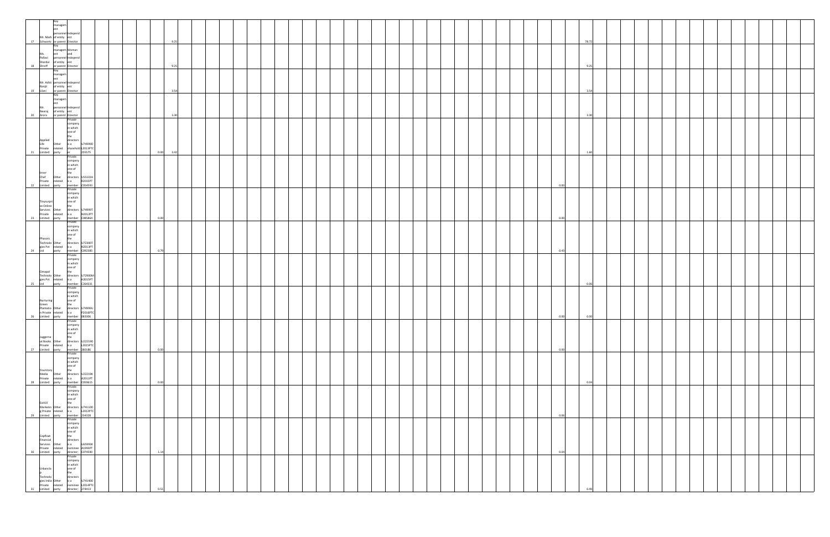|    | <ey<br>managem<br/> ent<br/> ent<br/> personnel Independ<br/> Mr. Mark of entity ent<br/> 17 Schwartz or parent Director</ey<br>                                                                                                                                                                                                 |  | 9.25         |  |  |  |  |  |  |  |  |                | 78.72 |  |  |  |  |  |
|----|----------------------------------------------------------------------------------------------------------------------------------------------------------------------------------------------------------------------------------------------------------------------------------------------------------------------------------|--|--------------|--|--|--|--|--|--|--|--|----------------|-------|--|--|--|--|--|
|    | The Schwartz Diety<br>Ms. et and<br>Ms. et and<br>Pallavi presonnel Independ<br>Shardul of entity et<br>18 Shroff or parent Director                                                                                                                                                                                             |  |              |  |  |  |  |  |  |  |  |                |       |  |  |  |  |  |
|    | Key<br>managem<br>ent<br>Mr. Ashit personnel Independ<br>Ranjit of entity ent<br>19 Lilani or parent Director                                                                                                                                                                                                                    |  | 9.25         |  |  |  |  |  |  |  |  |                | 9.25  |  |  |  |  |  |
|    | Key<br>managem<br>ent<br>Mr.<br>Neeraj<br>20 Arora                                                                                                                                                                                                                                                                               |  | 3.54         |  |  |  |  |  |  |  |  |                | 3.54  |  |  |  |  |  |
|    | personnel Independ<br>of entity<br>or parent Director<br>Private<br>company<br>in which<br>one of<br>the<br>directors                                                                                                                                                                                                            |  | 3.30         |  |  |  |  |  |  |  |  |                | 3.30  |  |  |  |  |  |
|    | Applied<br>Life Other Is a U74999D<br>Private related sharehold L2013PTC<br>21 Limited party er 255575<br>Private                                                                                                                                                                                                                |  | 0.00<br>3.42 |  |  |  |  |  |  |  |  |                | 1.60  |  |  |  |  |  |
|    | company<br>in which<br>mwind<br>Inner<br>Chef Other directors<br>Chef Other directors<br>Private related is a R2015PT<br>22 Limited party member (CO54593<br>Private remoted<br>Private Private                                                                                                                                  |  |              |  |  |  |  |  |  |  |  | 0 <sup>0</sup> |       |  |  |  |  |  |
|    | company<br>in which                                                                                                                                                                                                                                                                                                              |  | 0.00         |  |  |  |  |  |  |  |  | 0.00           |       |  |  |  |  |  |
|    | Tinysurpri<br>se Online<br>Services Other directors U74999T<br>Private related is a N2012PT<br>23 Limited party member C085864<br>Private<br>Private company<br>in which<br>Phasorz<br>Phasorz<br>Phasorz<br>Company<br>directors U<br>Phasorz<br>Technolo Other<br>gies Pvt related is a N2013PT<br>24 Ltd party member C092385 |  |              |  |  |  |  |  |  |  |  |                |       |  |  |  |  |  |
|    | Private<br>company<br>in which<br>one of<br>the<br>Omapal<br>Technolo Other<br>gies Pvt related is a H2015PT<br>25 Ltd party member C264331                                                                                                                                                                                      |  | 0.79         |  |  |  |  |  |  |  |  | 0.43           |       |  |  |  |  |  |
|    | Private<br>company<br>in which<br>one of<br>the<br>Nurturing<br>Green<br>Plantatio Other directors U74999U<br>Plantatio Other directors U74999U<br>n Private related is a P2016PTC<br>26 Limited party member 083306                                                                                                             |  |              |  |  |  |  |  |  |  |  |                | 0.06  |  |  |  |  |  |
|    | Private<br>company<br>in which<br>one of<br>the<br>Juggerna<br>ut Books<br>Private Prelated<br>27 Limited party<br>directors<br>is a<br>table 12015PTC<br>member 280186<br>Private                                                                                                                                               |  | 0.00         |  |  |  |  |  |  |  |  | 0.00<br>0.00   | 0.00  |  |  |  |  |  |
|    | Private<br>company<br>in which<br>one of<br>the<br>directors U22219K<br>is a A2011PT<br>member C059615<br>Private<br>company<br>Yourstory<br>Media<br>Private related<br>28 Limited party                                                                                                                                        |  | 0.00         |  |  |  |  |  |  |  |  |                | 0.04  |  |  |  |  |  |
|    |                                                                                                                                                                                                                                                                                                                                  |  |              |  |  |  |  |  |  |  |  | 0.06           |       |  |  |  |  |  |
|    | Frivate<br>In Which<br>Stati Company<br>In Which<br>Stati Company<br>In Which<br>Stati Company<br>Stati Company<br>United party member 234328<br>United party<br>Standal directors<br>Stati Cappendian<br>Stati Cappendian<br>Stati Company<br>Stati Compa                                                                       |  |              |  |  |  |  |  |  |  |  |                |       |  |  |  |  |  |
| 31 | Technolo<br>directors<br>gies India<br>Private related<br>Limited party<br>an and the U74140D<br>ad nominee L2014PTC<br>v director; 274413                                                                                                                                                                                       |  | 1.14         |  |  |  |  |  |  |  |  | 0.04           |       |  |  |  |  |  |